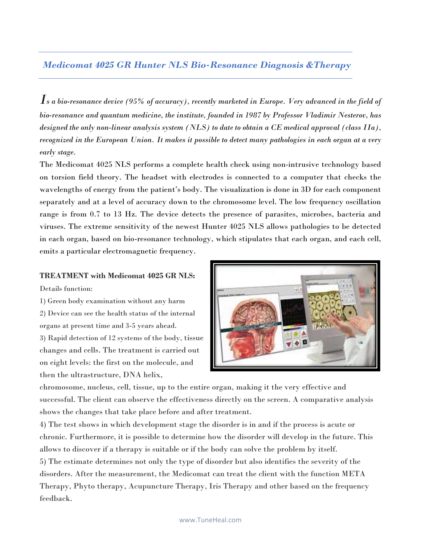## *Medicomat 4025 GR Hunter NLS Bio-Resonance Diagnosis &Therapy*

 $\boldsymbol{I}$ s a bio-resonance device (95% of accuracy), recently marketed in Europe. Very advanced in the field of *bio-resonance and quantum medicine, the institute, founded in 1987 by Professor Vladimir Nesterov, has designed the only non-linear analysis system (NLS) to date to obtain a CE medical approval (class IIa),* recognized in the European Union. It makes it possible to detect many pathologies in each organ at a very *early stage.*

The Medicomat 4025 NLS performs a complete health check using non-intrusive technology based on torsion field theory. The headset with electrodes is connected to a computer that checks the wavelengths of energy from the patient's body. The visualization is done in 3D for each component separately and at a level of accuracy down to the chromosome level. The low frequency oscillation range is from 0.7 to 13 Hz. The device detects the presence of parasites, microbes, bacteria and viruses. The extreme sensitivity of the newest Hunter 4025 NLS allows pathologies to be detected in each organ, based on bio-resonance technology, which stipulates that each organ, and each cell, emits a particular electromagnetic frequency.

### **TREATMENT with Medicomat 4025 GR NLS:**

Details function:

- 1) Green body examination without any harm 2) Device can see the health status of the internal organs at present time and 3-5 years ahead.
- 3) Rapid detection of 12 systems of the body, tissue changes and cells. The treatment is carried out on eight levels: the first on the molecule, and then the ultrastructure, DNA helix,



chromosome, nucleus, cell, tissue, up to the entire organ, making it the very effective and successful. The client can observe the effectiveness directly on the screen. A comparative analysis shows the changes that take place before and after treatment.

4) The test shows in which development stage the disorder is in and if the process is acute or chronic. Furthermore, it is possible to determine how the disorder will develop in the future. This allows to discover if a therapy is suitable or if the body can solve the problem by itself. 5) The estimate determines not only the type of disorder but also identifies the severity of the disorders. After the measurement, the Medicomat can treat the client with the function META Therapy, Phyto therapy, Acupuncture Therapy, Iris Therapy and other based on the frequency feedback.

#### www.TuneHeal.com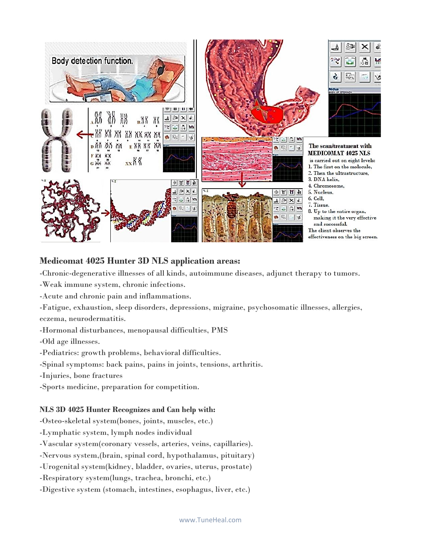

### **Medicomat 4025 Hunter 3D NLS application areas:**

-Chronic-degenerative illnesses of all kinds, autoimmune diseases, adjunct therapy to tumors.

-Weak immune system, chronic infections.

-Acute and chronic pain and inflammations.

-Fatigue, exhaustion, sleep disorders, depressions, migraine, psychosomatic illnesses, allergies, eczema, neurodermatitis.

-Hormonal disturbances, menopausal difficulties, PMS

-Old age illnesses.

-Pediatrics: growth problems, behavioral difficulties.

-Spinal symptoms: back pains, pains in joints, tensions, arthritis.

-Injuries, bone fractures

-Sports medicine, preparation for competition.

#### **NLS 3D 4025 Hunter Recognizes and Can help with:**

-Osteo-skeletal system(bones, joints, muscles, etc.)

-Lymphatic system, lymph nodes individual

-Vascular system(coronary vessels, arteries, veins, capillaries).

-Nervous system,(brain, spinal cord, hypothalamus, pituitary)

-Urogenital system(kidney, bladder, ovaries, uterus, prostate)

-Respiratory system(lungs, trachea, bronchi, etc.)

-Digestive system (stomach, intestines, esophagus, liver, etc.)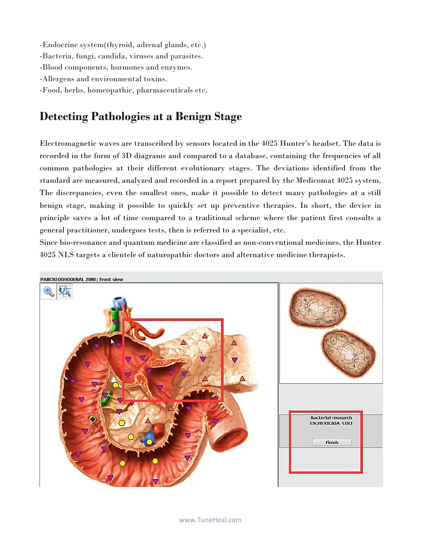-Endocrine system(thyroid, adrenal glands, etc.) -Bacteria, fungi, candida, viruses and parasites. -Blood components, hormones and enzymes. -Allergens and environmental toxins. -Food, herbs, homeopathic, pharmaceuticals etc.

# **Detecting Pathologies at a Benign Stage**

Electromagnetic waves are transcribed by sensors located in the 4025 Hunter's headset. The data is recorded in the form of 3D diagrams and compared to a database, containing the frequencies of all common pathologies at their different evolutionary stages. The deviations identified from the standard are measured, analyzed and recorded in a report prepared by the Medicomat 4025 system. The discrepancies, even the smallest ones, make it possible to detect many pathologies at a still benign stage, making it possible to quickly set up preventive therapies. In short, the device in principle saves a lot of time compared to a traditional scheme where the patient first consults a general practitioner, undergoes tests, then is referred to a specialist, etc.

Since bio-resonance and quantum medicine are classified as non-conventional medicines, the Hunter 4025 NLS targets a clientele of naturopathic doctors and alternative medicine therapists.